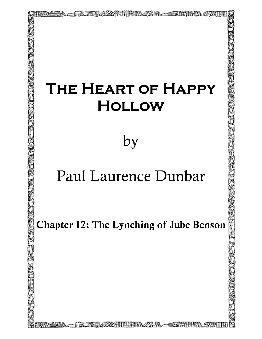## **The Heart of Happy Hollow**

22-BL - STAT

by

## Paul Laurence Dunbar

Chapter 12: The Lynching of Jube Benson

A SAXARINING ALAWAYAN TARA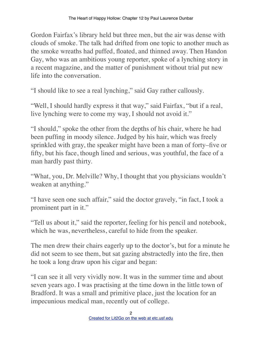Gordon Fairfax's library held but three men, but the air was dense with clouds of smoke. The talk had drifted from one topic to another much as the smoke wreaths had puffed, floated, and thinned away. Then Handon Gay, who was an ambitious young reporter, spoke of a lynching story in a recent magazine, and the matter of punishment without trial put new life into the conversation.

"I should like to see a real lynching," said Gay rather callously.

"Well, I should hardly express it that way," said Fairfax, "but if a real, live lynching were to come my way, I should not avoid it."

"I should," spoke the other from the depths of his chair, where he had been puffing in moody silence. Judged by his hair, which was freely sprinkled with gray, the speaker might have been a man of forty–five or fifty, but his face, though lined and serious, was youthful, the face of a man hardly past thirty.

"What, you, Dr. Melville? Why, I thought that you physicians wouldn't weaken at anything."

"I have seen one such affair," said the doctor gravely, "in fact, I took a prominent part in it."

"Tell us about it," said the reporter, feeling for his pencil and notebook, which he was, nevertheless, careful to hide from the speaker.

The men drew their chairs eagerly up to the doctor's, but for a minute he did not seem to see them, but sat gazing abstractedly into the fire, then he took a long draw upon his cigar and began:

"I can see it all very vividly now. It was in the summer time and about seven years ago. I was practising at the time down in the little town of Bradford. It was a small and primitive place, just the location for an impecunious medical man, recently out of college.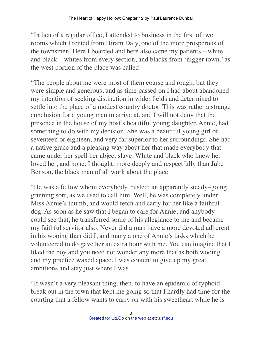"In lieu of a regular office, I attended to business in the first of two rooms which I rented from Hiram Daly, one of the more prosperous of the townsmen. Here I boarded and here also came my patients—white and black—whites from every section, and blacks from 'nigger town,' as the west portion of the place was called.

"The people about me were most of them coarse and rough, but they were simple and generous, and as time passed on I had about abandoned my intention of seeking distinction in wider fields and determined to settle into the place of a modest country doctor. This was rather a strange conclusion for a young man to arrive at, and I will not deny that the presence in the house of my host's beautiful young daughter, Annie, had something to do with my decision. She was a beautiful young girl of seventeen or eighteen, and very far superior to her surroundings. She had a native grace and a pleasing way about her that made everybody that came under her spell her abject slave. White and black who knew her loved her, and none, I thought, more deeply and respectfully than Jube Benson, the black man of all work about the place.

"He was a fellow whom everybody trusted; an apparently steady–going, grinning sort, as we used to call him. Well, he was completely under Miss Annie's thumb, and would fetch and carry for her like a faithful dog. As soon as he saw that I began to care for Annie, and anybody could see that, he transferred some of his allegiance to me and became my faithful servitor also. Never did a man have a more devoted adherent in his wooing than did I, and many a one of Annie's tasks which he volunteered to do gave her an extra hour with me. You can imagine that I liked the boy and you need not wonder any more that as both wooing and my practice waxed apace, I was content to give up my great ambitions and stay just where I was.

"It wasn't a very pleasant thing, then, to have an epidemic of typhoid break out in the town that kept me going so that I hardly had time for the courting that a fellow wants to carry on with his sweetheart while he is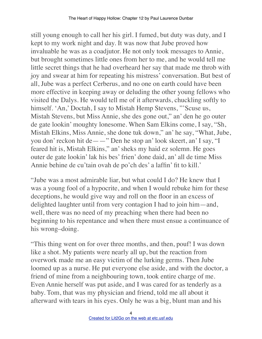still young enough to call her his girl. I fumed, but duty was duty, and I kept to my work night and day. It was now that Jube proved how invaluable he was as a coadjutor. He not only took messages to Annie, but brought sometimes little ones from her to me, and he would tell me little secret things that he had overheard her say that made me throb with joy and swear at him for repeating his mistress' conversation. But best of all, Jube was a perfect Cerberus, and no one on earth could have been more effective in keeping away or deluding the other young fellows who visited the Dalys. He would tell me of it afterwards, chuckling softly to himself. 'An,' Doctah, I say to Mistah Hemp Stevens, "'Scuse us, Mistah Stevens, but Miss Annie, she des gone out," an' den he go outer de gate lookin' moughty lonesome. When Sam Elkins come, I say, "Sh, Mistah Elkins, Miss Annie, she done tuk down," an' he say, "What, Jube, you don' reckon hit de——" Den he stop an' look skeert, an' I say, "I feared hit is, Mistah Elkins," an' sheks my haid ez solemn. He goes outer de gate lookin' lak his bes' frien' done daid, an' all de time Miss Annie behine de cu'tain ovah de po'ch des' a laffin' fit to kill.'

"Jube was a most admirable liar, but what could I do? He knew that I was a young fool of a hypocrite, and when I would rebuke him for these deceptions, he would give way and roll on the floor in an excess of delighted laughter until from very contagion I had to join him—and, well, there was no need of my preaching when there had been no beginning to his repentance and when there must ensue a continuance of his wrong–doing.

"This thing went on for over three months, and then, pouf! I was down like a shot. My patients were nearly all up, but the reaction from overwork made me an easy victim of the lurking germs. Then Jube loomed up as a nurse. He put everyone else aside, and with the doctor, a friend of mine from a neighbouring town, took entire charge of me. Even Annie herself was put aside, and I was cared for as tenderly as a baby. Tom, that was my physician and friend, told me all about it afterward with tears in his eyes. Only he was a big, blunt man and his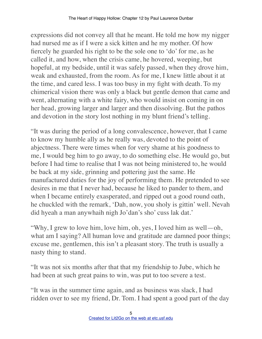expressions did not convey all that he meant. He told me how my nigger had nursed me as if I were a sick kitten and he my mother. Of how fiercely he guarded his right to be the sole one to 'do' for me, as he called it, and how, when the crisis came, he hovered, weeping, but hopeful, at my bedside, until it was safely passed, when they drove him, weak and exhausted, from the room. As for me, I knew little about it at the time, and cared less. I was too busy in my fight with death. To my chimerical vision there was only a black but gentle demon that came and went, alternating with a white fairy, who would insist on coming in on her head, growing larger and larger and then dissolving. But the pathos and devotion in the story lost nothing in my blunt friend's telling.

"It was during the period of a long convalescence, however, that I came to know my humble ally as he really was, devoted to the point of abjectness. There were times when for very shame at his goodness to me, I would beg him to go away, to do something else. He would go, but before I had time to realise that I was not being ministered to, he would be back at my side, grinning and pottering just the same. He manufactured duties for the joy of performing them. He pretended to see desires in me that I never had, because he liked to pander to them, and when I became entirely exasperated, and ripped out a good round oath, he chuckled with the remark, 'Dah, now, you sholy is gittin' well. Nevah did hyeah a man anywhaih nigh Jo'dan's sho' cuss lak dat.'

"Why, I grew to love him, love him, oh, yes, I loved him as well—oh, what am I saying? All human love and gratitude are damned poor things; excuse me, gentlemen, this isn't a pleasant story. The truth is usually a nasty thing to stand.

"It was not six months after that that my friendship to Jube, which he had been at such great pains to win, was put to too severe a test.

"It was in the summer time again, and as business was slack, I had ridden over to see my friend, Dr. Tom. I had spent a good part of the day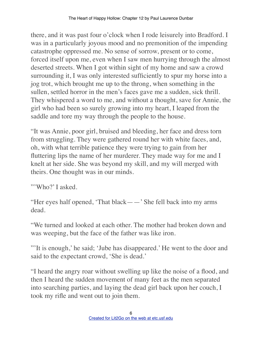there, and it was past four o'clock when I rode leisurely into Bradford. I was in a particularly joyous mood and no premonition of the impending catastrophe oppressed me. No sense of sorrow, present or to come, forced itself upon me, even when I saw men hurrying through the almost deserted streets. When I got within sight of my home and saw a crowd surrounding it, I was only interested sufficiently to spur my horse into a jog trot, which brought me up to the throng, when something in the sullen, settled horror in the men's faces gave me a sudden, sick thrill. They whispered a word to me, and without a thought, save for Annie, the girl who had been so surely growing into my heart, I leaped from the saddle and tore my way through the people to the house.

"It was Annie, poor girl, bruised and bleeding, her face and dress torn from struggling. They were gathered round her with white faces, and, oh, with what terrible patience they were trying to gain from her fluttering lips the name of her murderer. They made way for me and I knelt at her side. She was beyond my skill, and my will merged with theirs. One thought was in our minds.

"'Who?' I asked.

"Her eyes half opened, 'That black——' She fell back into my arms dead.

"We turned and looked at each other. The mother had broken down and was weeping, but the face of the father was like iron.

"'It is enough,' he said; 'Jube has disappeared.' He went to the door and said to the expectant crowd, 'She is dead.'

"I heard the angry roar without swelling up like the noise of a flood, and then I heard the sudden movement of many feet as the men separated into searching parties, and laying the dead girl back upon her couch, I took my rifle and went out to join them.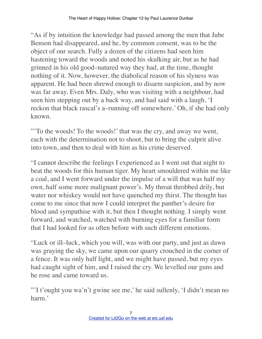"As if by intuition the knowledge had passed among the men that Jube Benson had disappeared, and he, by common consent, was to be the object of our search. Fully a dozen of the citizens had seen him hastening toward the woods and noted his skulking air, but as he had grinned in his old good–natured way they had, at the time, thought nothing of it. Now, however, the diabolical reason of his slyness was apparent. He had been shrewd enough to disarm suspicion, and by now was far away. Even Mrs. Daly, who was visiting with a neighbour, had seen him stepping out by a back way, and had said with a laugh, 'I reckon that black rascal's a–running off somewhere.' Oh, if she had only known.

"'To the woods! To the woods!' that was the cry, and away we went, each with the determination not to shoot, but to bring the culprit alive into town, and then to deal with him as his crime deserved.

"I cannot describe the feelings I experienced as I went out that night to beat the woods for this human tiger. My heart smouldered within me like a coal, and I went forward under the impulse of a will that was half my own, half some more malignant power's. My throat throbbed drily, but water nor whiskey would not have quenched my thirst. The thought has come to me since that now I could interpret the panther's desire for blood and sympathise with it, but then I thought nothing. I simply went forward, and watched, watched with burning eyes for a familiar form that I had looked for as often before with such different emotions.

"Luck or ill–luck, which you will, was with our party, and just as dawn was graying the sky, we came upon our quarry crouched in the corner of a fence. It was only half light, and we might have passed, but my eyes had caught sight of him, and I raised the cry. We levelled our guns and he rose and came toward us.

"'I t'ought you wa'n't gwine see me,' he said sullenly, 'I didn't mean no harm.'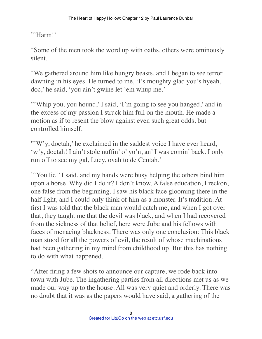"'Harm!'

"Some of the men took the word up with oaths, others were ominously silent.

"We gathered around him like hungry beasts, and I began to see terror dawning in his eyes. He turned to me, 'I's moughty glad you's hyeah, doc,' he said, 'you ain't gwine let 'em whup me.'

"Whip you, you hound,' I said, 'I'm going to see you hanged,' and in the excess of my passion I struck him full on the mouth. He made a motion as if to resent the blow against even such great odds, but controlled himself.

"'W'y, doctah,' he exclaimed in the saddest voice I have ever heard, 'w'y, doctah! I ain't stole nuffin' o' yo'n, an' I was comin' back. I only run off to see my gal, Lucy, ovah to de Centah.'

"'You lie!' I said, and my hands were busy helping the others bind him upon a horse. Why did I do it? I don't know. A false education, I reckon, one false from the beginning. I saw his black face glooming there in the half light, and I could only think of him as a monster. It's tradition. At first I was told that the black man would catch me, and when I got over that, they taught me that the devil was black, and when I had recovered from the sickness of that belief, here were Jube and his fellows with faces of menacing blackness. There was only one conclusion: This black man stood for all the powers of evil, the result of whose machinations had been gathering in my mind from childhood up. But this has nothing to do with what happened.

"After firing a few shots to announce our capture, we rode back into town with Jube. The ingathering parties from all directions met us as we made our way up to the house. All was very quiet and orderly. There was no doubt that it was as the papers would have said, a gathering of the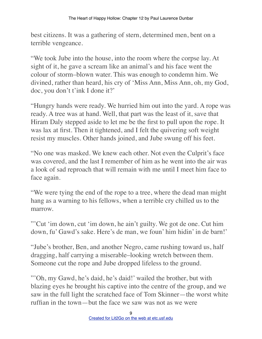best citizens. It was a gathering of stern, determined men, bent on a terrible vengeance.

"We took Jube into the house, into the room where the corpse lay. At sight of it, he gave a scream like an animal's and his face went the colour of storm–blown water. This was enough to condemn him. We divined, rather than heard, his cry of 'Miss Ann, Miss Ann, oh, my God, doc, you don't t'ink I done it?'

"Hungry hands were ready. We hurried him out into the yard. A rope was ready. A tree was at hand. Well, that part was the least of it, save that Hiram Daly stepped aside to let me be the first to pull upon the rope. It was lax at first. Then it tightened, and I felt the quivering soft weight resist my muscles. Other hands joined, and Jube swung off his feet.

"No one was masked. We knew each other. Not even the Culprit's face was covered, and the last I remember of him as he went into the air was a look of sad reproach that will remain with me until I meet him face to face again.

"We were tying the end of the rope to a tree, where the dead man might hang as a warning to his fellows, when a terrible cry chilled us to the marrow.

"'Cut 'im down, cut 'im down, he ain't guilty. We got de one. Cut him down, fu' Gawd's sake. Here's de man, we foun' him hidin' in de barn!'

"Jube's brother, Ben, and another Negro, came rushing toward us, half dragging, half carrying a miserable–looking wretch between them. Someone cut the rope and Jube dropped lifeless to the ground.

"'Oh, my Gawd, he's daid, he's daid!' wailed the brother, but with blazing eyes he brought his captive into the centre of the group, and we saw in the full light the scratched face of Tom Skinner—the worst white ruffian in the town—but the face we saw was not as we were